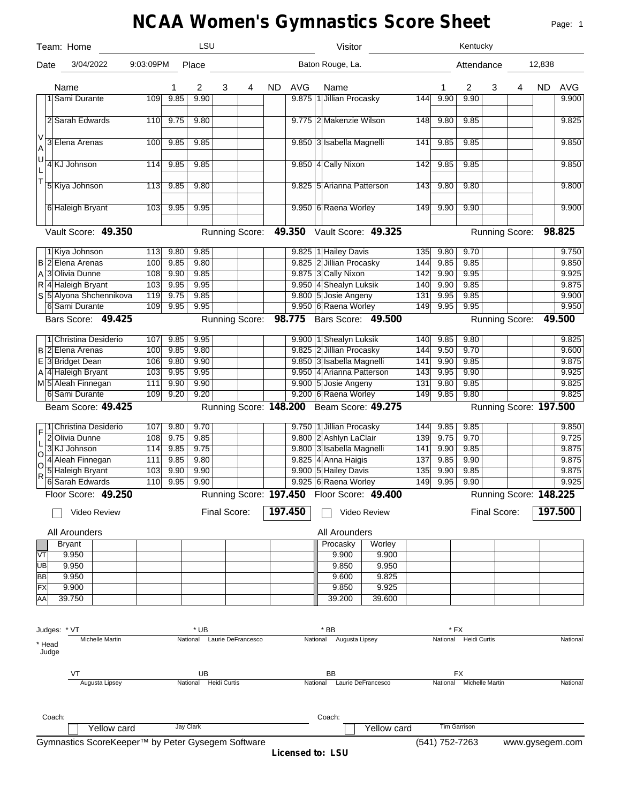# **NCAA Women's Gymnastics Score Sheet**

Page: 1

|          | Team: Home                                        |            |      | <b>LSU</b>                  |              |                       |           |            |    | Visitor                                    |              |                  |                | Kentucky                 |              |                        |           |                 |
|----------|---------------------------------------------------|------------|------|-----------------------------|--------------|-----------------------|-----------|------------|----|--------------------------------------------|--------------|------------------|----------------|--------------------------|--------------|------------------------|-----------|-----------------|
| Date     | 3/04/2022                                         | 9:03:09PM  |      | Place                       |              |                       |           |            |    | Baton Rouge, La.                           |              |                  |                | Attendance               |              |                        | 12,838    |                 |
|          | Name                                              |            | 1    | 2                           | 3            | 4                     | <b>ND</b> | <b>AVG</b> |    | Name                                       |              |                  | 1              | 2                        | 3            | 4                      | <b>ND</b> | <b>AVG</b>      |
|          | 1 Sami Durante                                    | 109        | 9.85 | 9.90                        |              |                       |           |            |    | 9.875 1 Jillian Procasky                   |              | 144              | 9.90           | 9.90                     |              |                        |           | 9.900           |
|          | 2 Sarah Edwards                                   | <b>110</b> | 9.75 | 9.80                        |              |                       |           |            |    | 9.775 2 Makenzie Wilson                    |              | 148              | 9.80           | 9.85                     |              |                        |           | 9.825           |
| V<br>A   | 3 Elena Arenas                                    | 100        | 9.85 | 9.85                        |              |                       |           |            |    | 9.850 3 Isabella Magnelli                  |              | 141              | 9.85           | 9.85                     |              |                        |           | 9.850           |
| ΙU<br>L  | 4 KJ Johnson                                      | 114        | 9.85 | 9.85                        |              |                       |           |            |    | 9.850 4 Cally Nixon                        |              | 142              | 9.85           | 9.85                     |              |                        |           | 9.850           |
| T        | 5 Kiya Johnson                                    | 113        | 9.85 | 9.80                        |              |                       |           |            |    | 9.825 5 Arianna Patterson                  |              | 143              | 9.80           | 9.80                     |              |                        |           | 9.800           |
|          | 6 Haleigh Bryant                                  | 103        | 9.95 | 9.95                        |              |                       |           |            |    | 9.950 6 Raena Worley                       |              | 149              | 9.90           | 9.90                     |              |                        |           | 9.900           |
|          | Vault Score: 49.350                               |            |      |                             |              | <b>Running Score:</b> |           |            |    | 49.350 Vault Score: 49.325                 |              |                  |                |                          |              | Running Score:         |           | 98.825          |
|          | 1 Kiya Johnson                                    | 113        | 9.80 | 9.85                        |              |                       |           |            |    | 9.825 1 Hailey Davis                       |              | 135              | 9.80           | 9.70                     |              |                        |           | 9.750           |
|          | <b>B2</b> Elena Arenas                            | 100        | 9.85 | 9.80                        |              |                       |           |            |    | 9.825 2 Jillian Procasky                   |              | 144              | 9.85           | 9.85                     |              |                        |           | 9.850           |
|          | A 3 Olivia Dunne                                  | 108        | 9.90 | 9.85                        |              |                       |           |            |    | 9.875 3 Cally Nixon                        |              | 142              | 9.90           | 9.95                     |              |                        |           | 9.925           |
|          | R 4 Haleigh Bryant                                | 103        | 9.95 | 9.95                        |              |                       |           |            |    | 9.950 4 Shealyn Luksik                     |              | 140              | 9.90           | 9.85                     |              |                        |           | 9.875           |
|          | S 5 Alyona Shchennikova                           | 119        | 9.75 | 9.85                        |              |                       |           |            |    | 9.800 5 Josie Angeny                       |              | 131              | 9.95           | 9.85                     |              |                        |           | 9.900           |
|          | 6 Sami Durante                                    | 109        | 9.95 | 9.95                        |              |                       |           |            |    | 9.950 6 Raena Worley                       |              | 149              | 9.95           | 9.95                     |              |                        |           | 9.950           |
|          | Bars Score: 49.425                                |            |      |                             |              |                       |           |            |    | Running Score: 98.775 Bars Score: 49.500   |              |                  |                |                          |              | Running Score:         |           | 49.500          |
|          | 1 Christina Desiderio                             | 107        | 9.85 | 9.95                        |              |                       |           |            |    | 9.900   1 Shealyn Luksik                   |              | 140              | 9.85           | 9.80                     |              |                        |           | 9.825           |
|          | <b>B</b> 2 Elena Arenas                           | 100        | 9.85 | 9.80                        |              |                       |           |            |    | 9.825 2 Jillian Procasky                   |              | 144              | 9.50           | 9.70                     |              |                        |           | 9.600           |
|          | E 3 Bridget Dean                                  | 106        | 9.80 | 9.90                        |              |                       |           |            |    | 9.850 3 Isabella Magnelli                  |              | 141              | 9.90           | 9.85                     |              |                        |           | 9.875           |
|          | A <sup>4</sup> Haleigh Bryant                     | 103        | 9.95 | 9.95                        |              |                       |           |            |    | 9.950 4 Arianna Patterson                  |              | 143              | 9.95           | 9.90                     |              |                        |           | 9.925           |
|          | M5 Aleah Finnegan                                 | 111        | 9.90 | 9.90                        |              |                       |           |            |    | 9.900 5 Josie Angeny                       |              | 131              | 9.80           | 9.85                     |              |                        |           | 9.825           |
|          | 6 Sami Durante                                    | 109        | 9.20 | 9.20                        |              |                       |           |            |    | 9.200 6 Raena Worley                       |              | 149              | 9.85           | 9.80                     |              |                        |           | 9.825           |
|          | Beam Score: 49.425                                |            |      |                             |              |                       |           |            |    | Running Score: 148.200 Beam Score: 49.275  |              |                  |                |                          |              | Running Score: 197.500 |           |                 |
|          | 1 Christina Desiderio                             | 107        | 9.80 | 9.70                        |              |                       |           |            |    | 9.750 1 Jillian Procasky                   |              | 144              | 9.85           | 9.85                     |              |                        |           | 9.850           |
| F        | 2 Olivia Dunne                                    | 108        | 9.75 | 9.85                        |              |                       |           |            |    | 9.800 2 Ashlyn LaClair                     |              | 139              | 9.75           | 9.70                     |              |                        |           | 9.725           |
| L        | 3KJ Johnson                                       | 114        | 9.85 | 9.75                        |              |                       |           |            |    | 9.800 3 Isabella Magnelli                  |              | 141              | 9.90           | 9.85                     |              |                        |           | 9.875           |
| lo       | 4 Aleah Finnegan                                  | 111        | 9.85 | 9.80                        |              |                       |           |            |    | 9.825 4 Anna Haigis                        |              | 137              | 9.85           | 9.90                     |              |                        |           | 9.875           |
| O        | 5 Haleigh Bryant                                  | 103        | 9.90 | 9.90                        |              |                       |           |            |    | 9.900 5 Hailey Davis                       |              | $\overline{135}$ | 9.90           | 9.85                     |              |                        |           | 9.875           |
| R        | 6 Sarah Edwards                                   | 110        | 9.95 | 9.90                        |              |                       |           |            |    | 9.925 6 Raena Worley                       |              | 149              | 9.95           | 9.90                     |              |                        |           | 9.925           |
|          | Floor Score: 49.250                               |            |      |                             |              |                       |           |            |    | Running Score: 197.450 Floor Score: 49.400 |              |                  |                |                          |              | Running Score: 148.225 |           |                 |
|          | Video Review                                      |            |      |                             | Final Score: |                       |           | 197.450    |    |                                            | Video Review |                  |                |                          | Final Score: |                        |           | 197.500         |
|          | All Arounders                                     |            |      |                             |              |                       |           |            |    | All Arounders                              |              |                  |                |                          |              |                        |           |                 |
|          | <b>Bryant</b>                                     |            |      |                             |              |                       |           |            |    | Procasky                                   | Worley       |                  |                |                          |              |                        |           |                 |
| VT       | 9.950                                             |            |      |                             |              |                       |           |            |    | 9.900                                      | 9.900        |                  |                |                          |              |                        |           |                 |
| UВ       | 9.950                                             |            |      |                             |              |                       |           |            |    | 9.850                                      | 9.950        |                  |                |                          |              |                        |           |                 |
| BB       | 9.950                                             |            |      |                             |              |                       |           |            |    | 9.600                                      | 9.825        |                  |                |                          |              |                        |           |                 |
| FX       | 9.900                                             |            |      |                             |              |                       |           |            |    | 9.850                                      | 9.925        |                  |                |                          |              |                        |           |                 |
| AA       | 39.750                                            |            |      |                             |              |                       |           |            |    | 39.200                                     | 39.600       |                  |                |                          |              |                        |           |                 |
|          |                                                   |            |      |                             |              |                       |           |            |    |                                            |              |                  |                |                          |              |                        |           |                 |
|          |                                                   |            |      |                             |              |                       |           |            |    |                                            |              |                  |                |                          |              |                        |           |                 |
|          | Judges: * VT                                      |            |      | * UB                        |              |                       |           |            |    | * BB                                       |              |                  | * FX           |                          |              |                        |           |                 |
|          | Michelle Martin<br>* Head<br>Judge                |            |      | National Laurie DeFrancesco |              |                       |           |            |    | National Augusta Lipsey                    |              |                  |                | National Heidi Curtis    |              |                        |           | National        |
| UB<br>VT |                                                   |            |      |                             | BB           |                       |           |            | FX |                                            |              |                  |                |                          |              |                        |           |                 |
|          | Augusta Lipsey                                    |            |      | National Heidi Curtis       |              |                       |           |            |    | National Laurie DeFrancesco                |              |                  |                | National Michelle Martin |              |                        |           | National        |
|          |                                                   |            |      |                             |              |                       |           |            |    |                                            |              |                  |                |                          |              |                        |           |                 |
|          | Coach:                                            |            |      |                             |              |                       |           |            |    | Coach:                                     |              |                  |                |                          |              |                        |           |                 |
|          | Yellow card                                       |            |      | Jay Clark                   |              |                       |           |            |    |                                            | Yellow card  |                  |                | <b>Tim Garrison</b>      |              |                        |           |                 |
|          | Gymnastics ScoreKeeper™ by Peter Gysegem Software |            |      |                             |              |                       |           |            |    |                                            |              |                  | (541) 752-7263 |                          |              |                        |           | www.gysegem.com |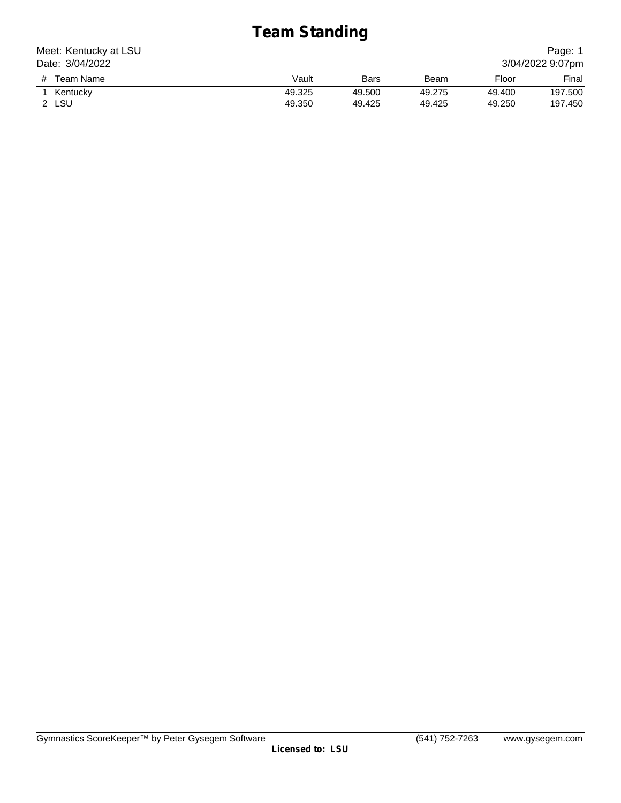# **Team Standing**

| Meet: Kentucky at LSU | Page: 1 |        |        |        |                  |
|-----------------------|---------|--------|--------|--------|------------------|
| Date: 3/04/2022       |         |        |        |        | 3/04/2022 9:07pm |
| Team Name<br>#        | Vault   | Bars   | Beam   | Floor  | Final            |
| Kentucky              | 49.325  | 49.500 | 49.275 | 49.400 | 197.500          |
| 2 LSU                 | 49.350  | 49.425 | 49.425 | 49.250 | 197.450          |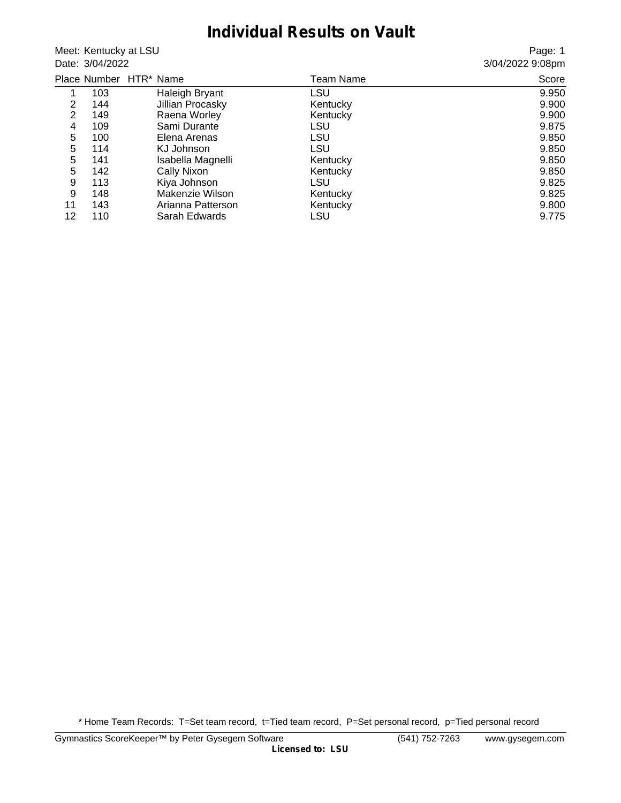#### **Individual Results on Vault**

Meet: Kentucky at LSU Date: 3/04/2022

Page: 1 3/04/2022 9:08pm

|    |     | Place Number HTR* Name | Team Name | Score |
|----|-----|------------------------|-----------|-------|
|    | 103 | Haleigh Bryant         | LSU       | 9.950 |
| 2  | 144 | Jillian Procasky       | Kentucky  | 9.900 |
| 2  | 149 | Raena Worley           | Kentucky  | 9.900 |
| 4  | 109 | Sami Durante           | LSU       | 9.875 |
| 5  | 100 | Elena Arenas           | LSU       | 9.850 |
| 5  | 114 | KJ Johnson             | LSU       | 9.850 |
| 5  | 141 | Isabella Magnelli      | Kentucky  | 9.850 |
| 5  | 142 | Cally Nixon            | Kentucky  | 9.850 |
| 9  | 113 | Kiya Johnson           | LSU       | 9.825 |
| 9  | 148 | Makenzie Wilson        | Kentucky  | 9.825 |
| 11 | 143 | Arianna Patterson      | Kentucky  | 9.800 |
| 12 | 110 | Sarah Edwards          | LSU       | 9.775 |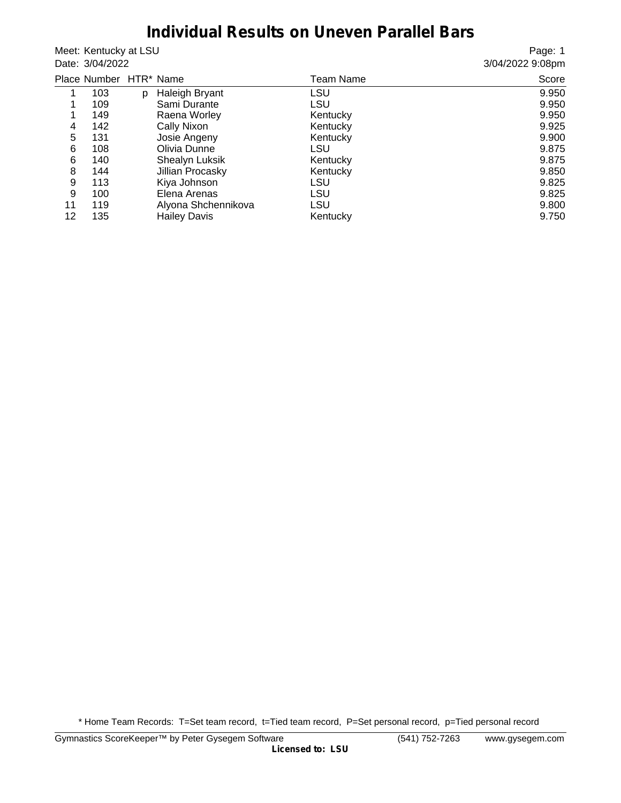#### **Individual Results on Uneven Parallel Bars**

Meet: Kentucky at LSU Date: 3/04/2022

Page: 1 3/04/2022 9:08pm

|    | Place Number HTR* Name |   |                     | Team Name | Score |
|----|------------------------|---|---------------------|-----------|-------|
|    | 103                    | D | Haleigh Bryant      | LSU       | 9.950 |
| 1  | 109                    |   | Sami Durante        | LSU       | 9.950 |
| 1  | 149                    |   | Raena Worley        | Kentucky  | 9.950 |
| 4  | 142                    |   | Cally Nixon         | Kentucky  | 9.925 |
| 5  | 131                    |   | Josie Angeny        | Kentucky  | 9.900 |
| 6  | 108                    |   | Olivia Dunne        | LSU       | 9.875 |
| 6  | 140                    |   | Shealyn Luksik      | Kentucky  | 9.875 |
| 8  | 144                    |   | Jillian Procasky    | Kentucky  | 9.850 |
| 9  | 113                    |   | Kiya Johnson        | LSU       | 9.825 |
| 9  | 100                    |   | Elena Arenas        | LSU       | 9.825 |
| 11 | 119                    |   | Alyona Shchennikova | LSU       | 9.800 |
| 12 | 135                    |   | <b>Hailey Davis</b> | Kentucky  | 9.750 |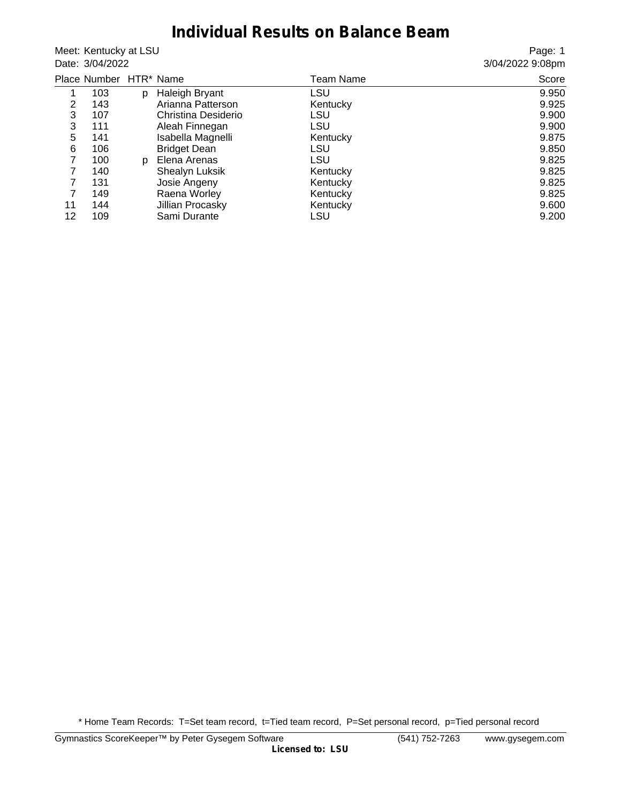## **Individual Results on Balance Beam**

Meet: Kentucky at LSU Date: 3/04/2022

Page: 1 3/04/2022 9:08pm

|    | Place Number HTR* Name |   |                     | Team Name  | Score |
|----|------------------------|---|---------------------|------------|-------|
|    | 103                    | D | Haleigh Bryant      | <b>LSU</b> | 9.950 |
| 2  | 143                    |   | Arianna Patterson   | Kentucky   | 9.925 |
| 3  | 107                    |   | Christina Desiderio | LSU        | 9.900 |
| 3  | 111                    |   | Aleah Finnegan      | LSU        | 9.900 |
| 5  | 141                    |   | Isabella Magnelli   | Kentucky   | 9.875 |
| 6  | 106                    |   | <b>Bridget Dean</b> | LSU        | 9.850 |
| 7  | 100                    | D | Elena Arenas        | LSU        | 9.825 |
| 7  | 140                    |   | Shealyn Luksik      | Kentucky   | 9.825 |
| 7  | 131                    |   | Josie Angeny        | Kentucky   | 9.825 |
| 7  | 149                    |   | Raena Worley        | Kentucky   | 9.825 |
| 11 | 144                    |   | Jillian Procasky    | Kentucky   | 9.600 |
| 12 | 109                    |   | Sami Durante        | LSU        | 9.200 |
|    |                        |   |                     |            |       |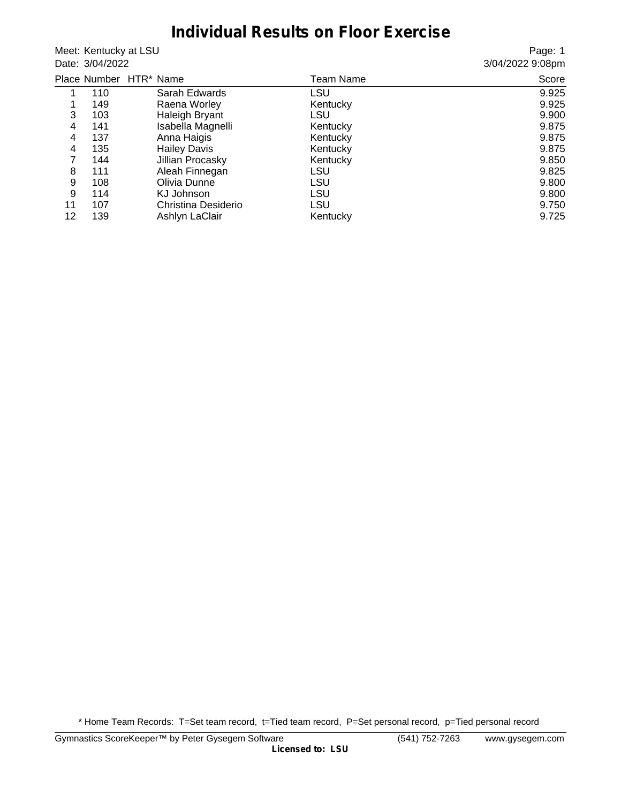## **Individual Results on Floor Exercise**

Meet: Kentucky at LSU Date: 3/04/2022

Page: 1 3/04/2022 9:08pm

|    |     | Place Number HTR* Name | Team Name | Score |
|----|-----|------------------------|-----------|-------|
|    | 110 | Sarah Edwards          | LSU       | 9.925 |
| 1  | 149 | Raena Worley           | Kentucky  | 9.925 |
| 3  | 103 | Haleigh Bryant         | LSU       | 9.900 |
| 4  | 141 | Isabella Magnelli      | Kentucky  | 9.875 |
| 4  | 137 | Anna Haigis            | Kentucky  | 9.875 |
| 4  | 135 | <b>Hailey Davis</b>    | Kentucky  | 9.875 |
| 7  | 144 | Jillian Procasky       | Kentucky  | 9.850 |
| 8  | 111 | Aleah Finnegan         | LSU       | 9.825 |
| 9  | 108 | Olivia Dunne           | LSU       | 9.800 |
| 9  | 114 | KJ Johnson             | LSU       | 9.800 |
| 11 | 107 | Christina Desiderio    | LSU       | 9.750 |
| 12 | 139 | Ashlyn LaClair         | Kentucky  | 9.725 |
|    |     |                        |           |       |